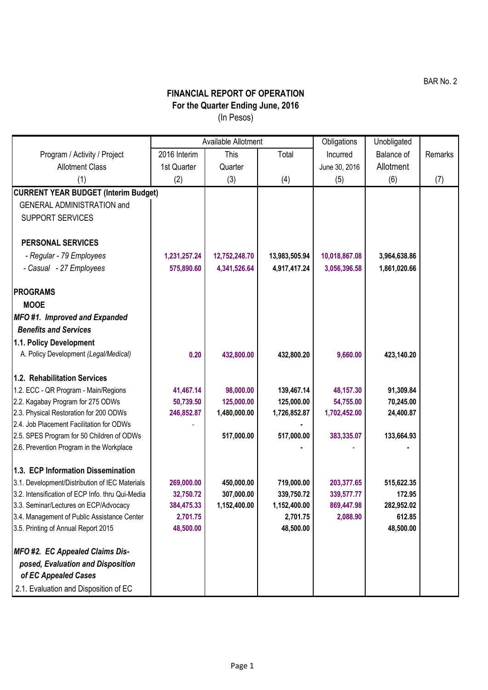## **FINANCIAL REPORT OF OPERATION For the Quarter Ending June, 2016** (In Pesos)

|                                                                                       | Available Allotment |               |               | Obligations   | Unobligated       |         |
|---------------------------------------------------------------------------------------|---------------------|---------------|---------------|---------------|-------------------|---------|
| Program / Activity / Project                                                          | 2016 Interim        | This          | Total         | Incurred      | <b>Balance of</b> | Remarks |
| <b>Allotment Class</b>                                                                | 1st Quarter         | Quarter       |               | June 30, 2016 | Allotment         |         |
| (1)                                                                                   | (2)                 | (3)           | (4)           | (5)           | (6)               | (7)     |
| <b>CURRENT YEAR BUDGET (Interim Budget)</b>                                           |                     |               |               |               |                   |         |
| <b>GENERAL ADMINISTRATION and</b>                                                     |                     |               |               |               |                   |         |
| <b>SUPPORT SERVICES</b>                                                               |                     |               |               |               |                   |         |
|                                                                                       |                     |               |               |               |                   |         |
| <b>PERSONAL SERVICES</b>                                                              |                     |               |               |               |                   |         |
| - Regular - 79 Employees                                                              | 1,231,257.24        | 12,752,248.70 | 13,983,505.94 | 10,018,867.08 | 3,964,638.86      |         |
| - Casual - 27 Employees                                                               | 575,890.60          | 4,341,526.64  | 4,917,417.24  | 3,056,396.58  | 1,861,020.66      |         |
|                                                                                       |                     |               |               |               |                   |         |
| <b>PROGRAMS</b>                                                                       |                     |               |               |               |                   |         |
| <b>MOOE</b>                                                                           |                     |               |               |               |                   |         |
| MFO#1. Improved and Expanded                                                          |                     |               |               |               |                   |         |
| <b>Benefits and Services</b>                                                          |                     |               |               |               |                   |         |
| 1.1. Policy Development                                                               |                     |               |               |               |                   |         |
| A. Policy Development (Legal/Medical)                                                 | 0.20                | 432,800.00    | 432,800.20    | 9,660.00      | 423,140.20        |         |
|                                                                                       |                     |               |               |               |                   |         |
| 1.2. Rehabilitation Services                                                          |                     |               |               |               |                   |         |
| 1.2. ECC - QR Program - Main/Regions                                                  | 41,467.14           | 98,000.00     | 139,467.14    | 48,157.30     | 91,309.84         |         |
| 2.2. Kagabay Program for 275 ODWs                                                     | 50,739.50           | 125,000.00    | 125,000.00    | 54,755.00     | 70,245.00         |         |
| 2.3. Physical Restoration for 200 ODWs                                                | 246,852.87          | 1,480,000.00  | 1,726,852.87  | 1,702,452.00  | 24,400.87         |         |
| 2.4. Job Placement Facilitation for ODWs<br>2.5. SPES Program for 50 Children of ODWs |                     | 517,000.00    | 517,000.00    | 383,335.07    | 133,664.93        |         |
| 2.6. Prevention Program in the Workplace                                              |                     |               |               |               |                   |         |
|                                                                                       |                     |               |               |               |                   |         |
| 1.3. ECP Information Dissemination                                                    |                     |               |               |               |                   |         |
| 3.1. Development/Distribution of IEC Materials                                        | 269,000.00          | 450,000.00    | 719,000.00    | 203,377.65    | 515,622.35        |         |
| 3.2. Intensification of ECP Info. thru Qui-Media                                      | 32,750.72           | 307,000.00    | 339,750.72    | 339,577.77    | 172.95            |         |
| 3.3. Seminar/Lectures on ECP/Advocacy                                                 | 384,475.33          | 1,152,400.00  | 1,152,400.00  | 869,447.98    | 282,952.02        |         |
| 3.4. Management of Public Assistance Center                                           | 2,701.75            |               | 2,701.75      | 2,088.90      | 612.85            |         |
| 3.5. Printing of Annual Report 2015                                                   | 48,500.00           |               | 48,500.00     |               | 48,500.00         |         |
|                                                                                       |                     |               |               |               |                   |         |
| MFO #2. EC Appealed Claims Dis-                                                       |                     |               |               |               |                   |         |
| posed, Evaluation and Disposition                                                     |                     |               |               |               |                   |         |
| of EC Appealed Cases                                                                  |                     |               |               |               |                   |         |
| 2.1. Evaluation and Disposition of EC                                                 |                     |               |               |               |                   |         |

BAR No. 2